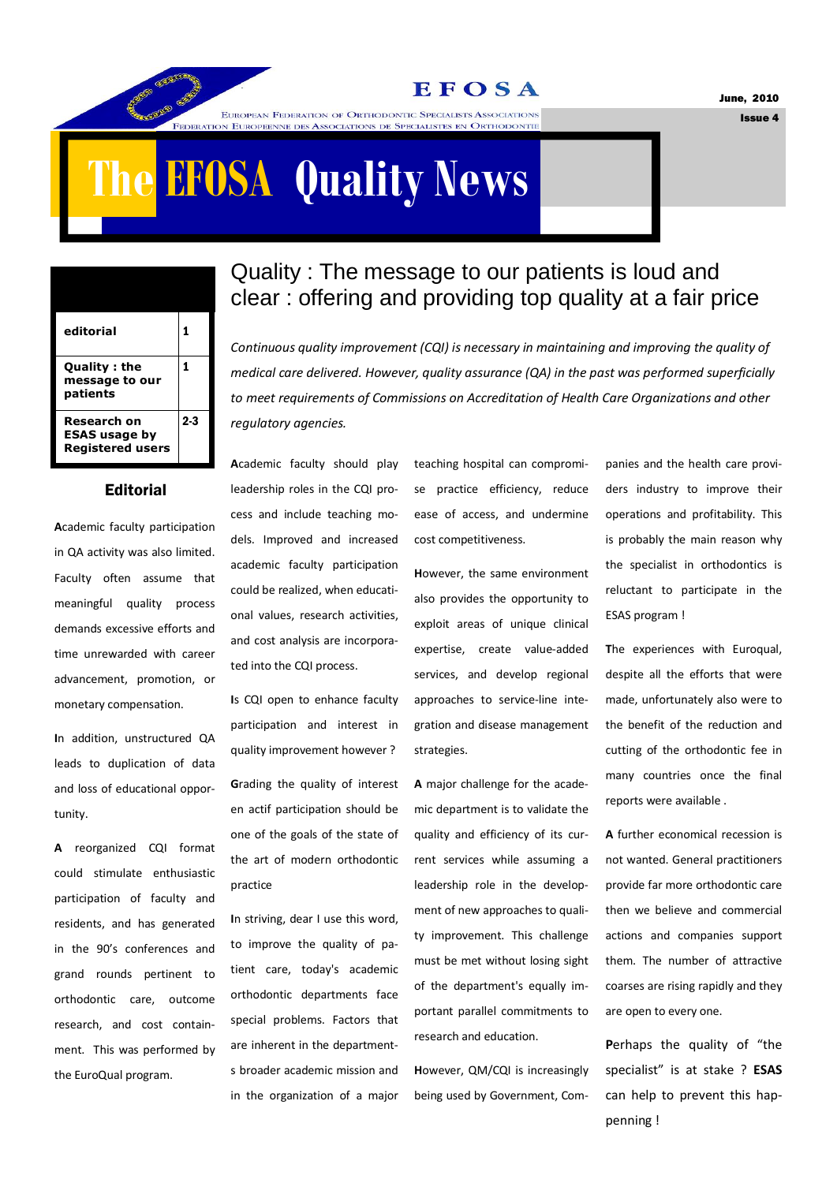**EFOSA** 

June, 2010

Issue 4

# **The EFOSA Quality News**

EUROPEAN FEDERATION OF ORTHODONTIC SPECIALISTS ASSOCIATIONS N EUROPEENNE DES ASSOCIATIONS DE SPECIALISTES EN ORTHODONTI

| editorial                                                      |       |
|----------------------------------------------------------------|-------|
| <b>Quality: the</b><br>message to our<br>patients              | 1     |
| Research on<br><b>ESAS usage by</b><br><b>Registered users</b> | $2-3$ |

### **Editorial**

**A**cademic faculty participation in QA activity was also limited. Faculty often assume that meaningful quality process demands excessive efforts and time unrewarded with career advancement, promotion, or monetary compensation.

**I**n addition, unstructured QA leads to duplication of data and loss of educational opportunity.

**A** reorganized CQI format could stimulate enthusiastic participation of faculty and residents, and has generated in the 90's conferences and grand rounds pertinent to orthodontic care, outcome research, and cost containment. This was performed by the EuroQual program.

### Quality : The message to our patients is loud and clear : offering and providing top quality at a fair price

*Continuous quality improvement (CQI) is necessary in maintaining and improving the quality of medical care delivered. However, quality assurance (QA) in the past was performed superficially to meet requirements of Commissions on Accreditation of Health Care Organizations and other regulatory agencies.* 

**A**cademic faculty should play leadership roles in the CQI process and include teaching models. Improved and increased academic faculty participation could be realized, when educational values, research activities, and cost analysis are incorporated into the CQI process.

**I**s CQI open to enhance faculty participation and interest in quality improvement however ?

**G**rading the quality of interest en actif participation should be one of the goals of the state of the art of modern orthodontic practice

**I**n striving, dear I use this word, to improve the quality of patient care, today's academic orthodontic departments face special problems. Factors that are inherent in the departments broader academic mission and in the organization of a major teaching hospital can compromise practice efficiency, reduce ease of access, and undermine cost competitiveness.

**H**owever, the same environment also provides the opportunity to exploit areas of unique clinical expertise, create value-added services, and develop regional approaches to service-line integration and disease management strategies.

**A** major challenge for the academic department is to validate the quality and efficiency of its current services while assuming a leadership role in the development of new approaches to quality improvement. This challenge must be met without losing sight of the department's equally important parallel commitments to research and education.

**H**owever, QM/CQI is increasingly being used by Government, Companies and the health care providers industry to improve their operations and profitability. This is probably the main reason why the specialist in orthodontics is reluctant to participate in the ESAS program !

**T**he experiences with Euroqual, despite all the efforts that were made, unfortunately also were to the benefit of the reduction and cutting of the orthodontic fee in many countries once the final reports were available .

**A** further economical recession is not wanted. General practitioners provide far more orthodontic care then we believe and commercial actions and companies support them. The number of attractive coarses are rising rapidly and they are open to every one.

**P**erhaps the quality of "the specialist" is at stake ? **ESAS**  can help to prevent this happenning !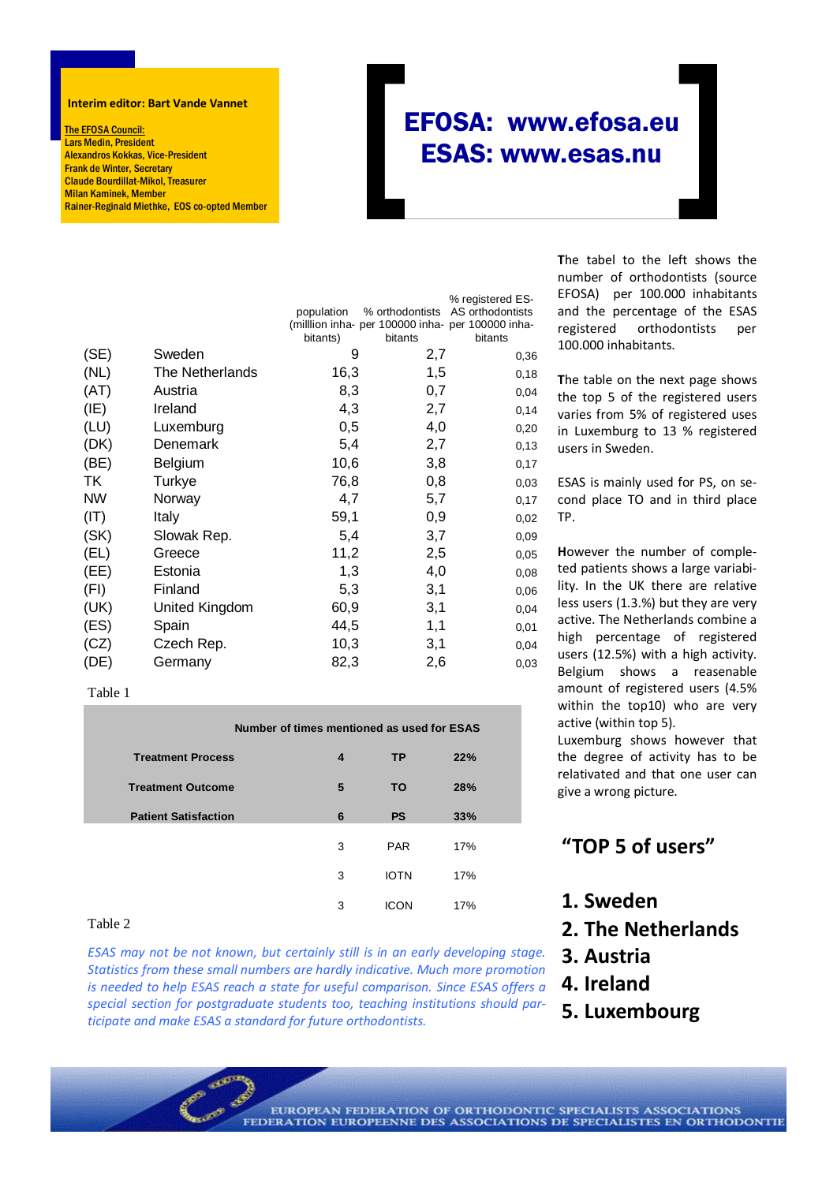#### **Interim editor: Bart Vande Vannet**

The EFOSA Council: Lars Medin, President Alexandros Kokkas, Vice-President Frank de Winter, Secretary Claude Bourdillat-Mikol, Treasurer Milan Kaminek, Member Rainer-Reginald Miethke, EOS co-opted Member

## EFOSA: www.efosa.eu ESAS: www.esas.nu

|           |                 | population<br>(milllion inha- per 100000 inha- per 100000 inha-<br>bitants) | bitants | % registered ES-<br>% orthodontists AS orthodontists<br>bitants |
|-----------|-----------------|-----------------------------------------------------------------------------|---------|-----------------------------------------------------------------|
| (SE)      | Sweden          | 9                                                                           | 2,7     | 0,36                                                            |
| (NL)      | The Netherlands | 16,3                                                                        | 1,5     | 0,18                                                            |
| (AT)      | Austria         | 8,3                                                                         | 0,7     | 0,04                                                            |
| (IE)      | Ireland         | 4,3                                                                         | 2,7     | 0,14                                                            |
| (LU)      | Luxemburg       | 0,5                                                                         | 4,0     | 0,20                                                            |
| (DK)      | Denemark        | 5,4                                                                         | 2,7     | 0,13                                                            |
| (BE)      | Belgium         | 10,6                                                                        | 3,8     | 0,17                                                            |
| TK        | Turkye          | 76,8                                                                        | 0,8     | 0,03                                                            |
| <b>NW</b> | Norway          | 4,7                                                                         | 5,7     | 0,17                                                            |
| (IT)      | Italy           | 59,1                                                                        | 0,9     | 0,02                                                            |
| (SK)      | Slowak Rep.     | 5,4                                                                         | 3,7     | 0,09                                                            |
| (EL)      | Greece          | 11,2                                                                        | 2,5     | 0,05                                                            |
| (EE)      | Estonia         | 1,3                                                                         | 4,0     | 0,08                                                            |
| (FI)      | Finland         | 5,3                                                                         | 3,1     | 0,06                                                            |
| (UK)      | United Kingdom  | 60,9                                                                        | 3,1     | 0,04                                                            |
| (ES)      | Spain           | 44,5                                                                        | 1,1     | 0,01                                                            |
| (CZ)      | Czech Rep.      | 10,3                                                                        | 3,1     | 0,04                                                            |
| (DE)      | Germany         | 82,3                                                                        | 2,6     | 0,03                                                            |

#### Table 1

|                             | Number of times mentioned as used for ESAS |             |            |  |  |  |  |  |
|-----------------------------|--------------------------------------------|-------------|------------|--|--|--|--|--|
| <b>Treatment Process</b>    | 4                                          | <b>TP</b>   | 22%        |  |  |  |  |  |
| <b>Treatment Outcome</b>    | 5                                          | ΤO          | <b>28%</b> |  |  |  |  |  |
| <b>Patient Satisfaction</b> | 6                                          | <b>PS</b>   | 33%        |  |  |  |  |  |
|                             | 3                                          | <b>PAR</b>  | 17%        |  |  |  |  |  |
|                             | 3                                          | <b>IOTN</b> | 17%        |  |  |  |  |  |
|                             | 3                                          | ICON        | 17%        |  |  |  |  |  |

### Table 2

*ESAS may not be not known, but certainly still is in an early developing stage. Statistics from these small numbers are hardly indicative. Much more promotion is needed to help ESAS reach a state for useful comparison. Since ESAS offers a special section for postgraduate students too, teaching institutions should participate and make ESAS a standard for future orthodontists.*

**T**he tabel to the left shows the number of orthodontists (source EFOSA) per 100.000 inhabitants and the percentage of the ESAS registered orthodontists per 100.000 inhabitants.

**T**he table on the next page shows the top 5 of the registered users varies from 5% of registered uses in Luxemburg to 13 % registered users in Sweden.

ESAS is mainly used for PS, on second place TO and in third place TP.

**H**owever the number of completed patients shows a large variability. In the UK there are relative less users (1.3.%) but they are very active. The Netherlands combine a high percentage of registered users (12.5%) with a high activity. Belgium shows a reasenable amount of registered users (4.5% within the top10) who are very active (within top 5).

Luxemburg shows however that the degree of activity has to be relativated and that one user can give a wrong picture.

### **"TOP 5 of users"**

- **1. Sweden**
- **2. The Netherlands**
- **3. Austria**
- **4. Ireland**
- **5. Luxembourg**